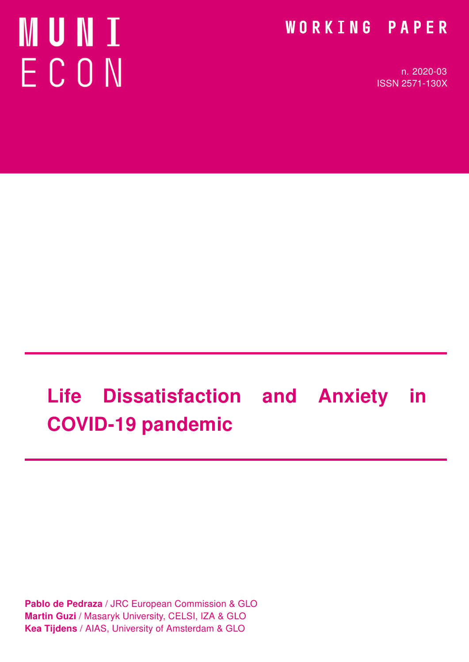# **MUNI** ECON

### WORKING PAPER

n. 2020-03 ISSN 2571-130X

# Life Dissatisfaction and Anxiety in COVID-19 pandemic

Pablo de Pedraza / JRC European Commission & GLO Martin Guzi / Masaryk University, CELSI, IZA & GLO Kea Tijdens / AIAS, University of Amsterdam & GLO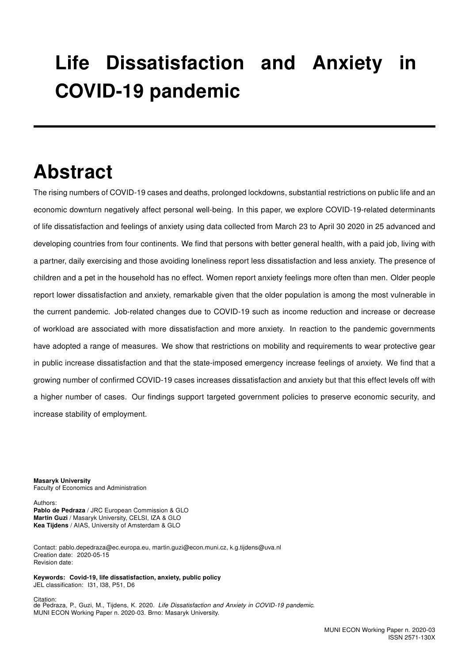## Life Dissatisfaction and Anxiety in COVID-19 pandemic

### Abstract

The rising numbers of COVID-19 cases and deaths, prolonged lockdowns, substantial restrictions on public life and an economic downturn negatively affect personal well-being. In this paper, we explore COVID-19-related determinants of life dissatisfaction and feelings of anxiety using data collected from March 23 to April 30 2020 in 25 advanced and developing countries from four continents. We find that persons with better general health, with a paid job, living with a partner, daily exercising and those avoiding loneliness report less dissatisfaction and less anxiety. The presence of children and a pet in the household has no effect. Women report anxiety feelings more often than men. Older people report lower dissatisfaction and anxiety, remarkable given that the older population is among the most vulnerable in the current pandemic. Job-related changes due to COVID-19 such as income reduction and increase or decrease of workload are associated with more dissatisfaction and more anxiety. In reaction to the pandemic governments have adopted a range of measures. We show that restrictions on mobility and requirements to wear protective gear in public increase dissatisfaction and that the state-imposed emergency increase feelings of anxiety. We find that a growing number of confirmed COVID-19 cases increases dissatisfaction and anxiety but that this effect levels off with a higher number of cases. Our findings support targeted government policies to preserve economic security, and increase stability of employment.

Masaryk University Faculty of Economics and Administration

Authors:

Pablo de Pedraza / JRC European Commission & GLO Martin Guzi / Masaryk University, CELSI, IZA & GLO Kea Tijdens / AIAS, University of Amsterdam & GLO

Contact: pablo.depedraza@ec.europa.eu, martin.guzi@econ.muni.cz, k.g.tijdens@uva.nl Creation date: 2020-05-15 Revision date:

Keywords: Covid-19, life dissatisfaction, anxiety, public policy JEL classification: I31, I38, P51, D6

Citation: de Pedraza, P., Guzi, M., Tijdens, K. 2020. Life Dissatisfaction and Anxiety in COVID-19 pandemic. MUNI ECON Working Paper n. 2020-03. Brno: Masaryk University.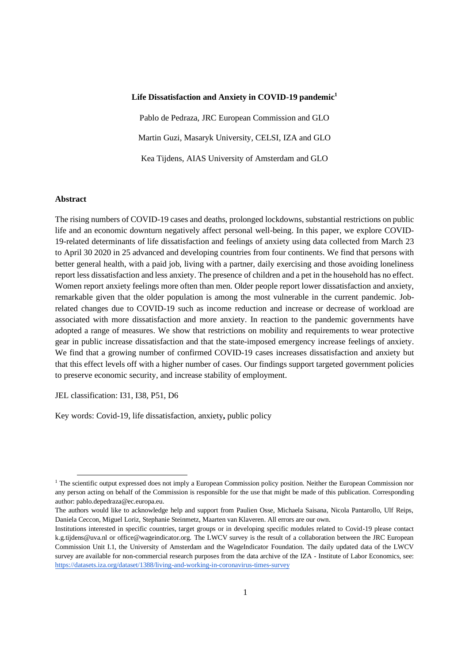#### **Life Dissatisfaction and Anxiety in COVID-19 pandemic<sup>1</sup>**

Pablo de Pedraza, JRC European Commission and GLO Martin Guzi, Masaryk University, CELSI, IZA and GLO Kea Tijdens, AIAS University of Amsterdam and GLO

#### **Abstract**

The rising numbers of COVID-19 cases and deaths, prolonged lockdowns, substantial restrictions on public life and an economic downturn negatively affect personal well-being. In this paper, we explore COVID-19-related determinants of life dissatisfaction and feelings of anxiety using data collected from March 23 to April 30 2020 in 25 advanced and developing countries from four continents. We find that persons with better general health, with a paid job, living with a partner, daily exercising and those avoiding loneliness report less dissatisfaction and less anxiety. The presence of children and a pet in the household has no effect. Women report anxiety feelings more often than men. Older people report lower dissatisfaction and anxiety, remarkable given that the older population is among the most vulnerable in the current pandemic. Jobrelated changes due to COVID-19 such as income reduction and increase or decrease of workload are associated with more dissatisfaction and more anxiety. In reaction to the pandemic governments have adopted a range of measures. We show that restrictions on mobility and requirements to wear protective gear in public increase dissatisfaction and that the state-imposed emergency increase feelings of anxiety. We find that a growing number of confirmed COVID-19 cases increases dissatisfaction and anxiety but that this effect levels off with a higher number of cases. Our findings support targeted government policies to preserve economic security, and increase stability of employment.

JEL classification: I31, I38, P51, D6

Key words: Covid-19, life dissatisfaction, anxiety**,** public policy

<sup>&</sup>lt;sup>1</sup> The scientific output expressed does not imply a European Commission policy position. Neither the European Commission nor any person acting on behalf of the Commission is responsible for the use that might be made of this publication. Corresponding author: pablo.depedraza@ec.europa.eu.

The authors would like to acknowledge help and support from Paulien Osse, Michaela Saisana, Nicola Pantarollo, Ulf Reips, Daniela Ceccon, Miguel Loriz, Stephanie Steinmetz, Maarten van Klaveren. All errors are our own.

Institutions interested in specific countries, target groups or in developing specific modules related to Covid-19 please contact k.g.tijdens@uva.nl or office@wageindicator.org. The LWCV survey is the result of a collaboration between the JRC European Commission Unit I.1, the University of Amsterdam and the WageIndicator Foundation. The daily updated data of the LWCV survey are available for non-commercial research purposes from the data archive of the IZA - Institute of Labor Economics, see: https://datasets.iza.org/dataset/1388/living-and-working-in-coronavirus-times-survey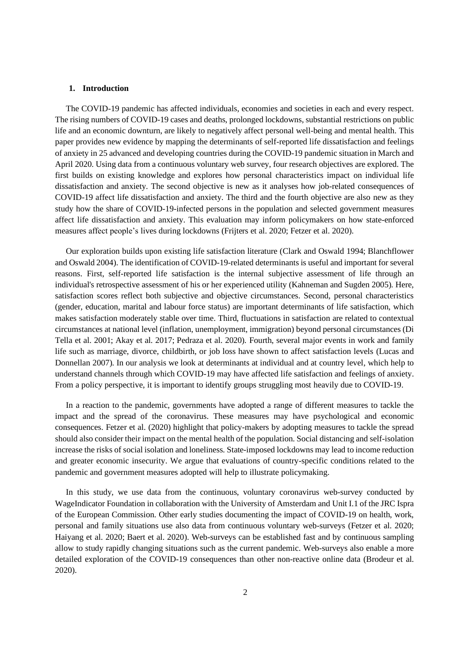#### **1. Introduction**

The COVID-19 pandemic has affected individuals, economies and societies in each and every respect. The rising numbers of COVID-19 cases and deaths, prolonged lockdowns, substantial restrictions on public life and an economic downturn, are likely to negatively affect personal well-being and mental health. This paper provides new evidence by mapping the determinants of self-reported life dissatisfaction and feelings of anxiety in 25 advanced and developing countries during the COVID-19 pandemic situation in March and April 2020. Using data from a continuous voluntary web survey, four research objectives are explored. The first builds on existing knowledge and explores how personal characteristics impact on individual life dissatisfaction and anxiety. The second objective is new as it analyses how job-related consequences of COVID-19 affect life dissatisfaction and anxiety. The third and the fourth objective are also new as they study how the share of COVID-19-infected persons in the population and selected government measures affect life dissatisfaction and anxiety. This evaluation may inform policymakers on how state-enforced measures affect people's lives during lockdowns (Frijters et al. 2020; Fetzer et al. 2020).

Our exploration builds upon existing life satisfaction literature (Clark and Oswald 1994; Blanchflower and Oswald 2004). The identification of COVID-19-related determinants is useful and important for several reasons. First, self-reported life satisfaction is the internal subjective assessment of life through an individual's retrospective assessment of his or her experienced utility (Kahneman and Sugden 2005). Here, satisfaction scores reflect both subjective and objective circumstances. Second, personal characteristics (gender, education, marital and labour force status) are important determinants of life satisfaction, which makes satisfaction moderately stable over time. Third, fluctuations in satisfaction are related to contextual circumstances at national level (inflation, unemployment, immigration) beyond personal circumstances (Di Tella et al. 2001; Akay et al. 2017; Pedraza et al. 2020). Fourth, several major events in work and family life such as marriage, divorce, childbirth, or job loss have shown to affect satisfaction levels (Lucas and Donnellan 2007). In our analysis we look at determinants at individual and at country level, which help to understand channels through which COVID-19 may have affected life satisfaction and feelings of anxiety. From a policy perspective, it is important to identify groups struggling most heavily due to COVID-19.

In a reaction to the pandemic, governments have adopted a range of different measures to tackle the impact and the spread of the coronavirus. These measures may have psychological and economic consequences. Fetzer et al. (2020) highlight that policy-makers by adopting measures to tackle the spread should also consider their impact on the mental health of the population. Social distancing and self-isolation increase the risks of social isolation and loneliness. State-imposed lockdowns may lead to income reduction and greater economic insecurity. We argue that evaluations of country-specific conditions related to the pandemic and government measures adopted will help to illustrate policymaking.

In this study, we use data from the continuous, voluntary coronavirus web-survey conducted by WageIndicator Foundation in collaboration with the University of Amsterdam and Unit I.1 of the JRC Ispra of the European Commission. Other early studies documenting the impact of COVID-19 on health, work, personal and family situations use also data from continuous voluntary web-surveys (Fetzer et al. 2020; Haiyang et al. 2020; Baert et al. 2020). Web-surveys can be established fast and by continuous sampling allow to study rapidly changing situations such as the current pandemic. Web-surveys also enable a more detailed exploration of the COVID-19 consequences than other non-reactive online data (Brodeur et al. 2020).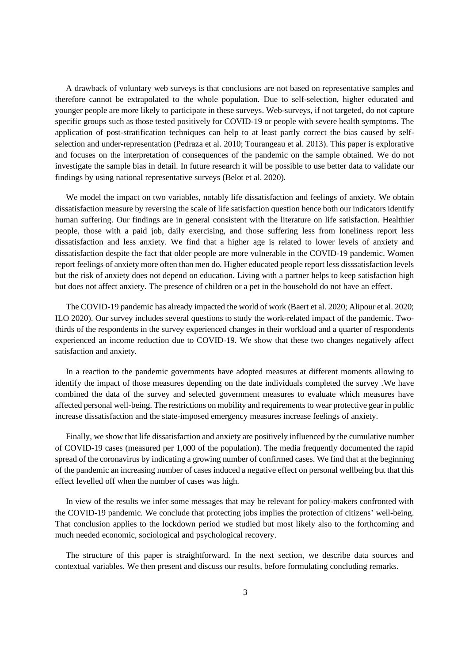A drawback of voluntary web surveys is that conclusions are not based on representative samples and therefore cannot be extrapolated to the whole population. Due to self-selection, higher educated and younger people are more likely to participate in these surveys. Web-surveys, if not targeted, do not capture specific groups such as those tested positively for COVID-19 or people with severe health symptoms. The application of post-stratification techniques can help to at least partly correct the bias caused by selfselection and under-representation (Pedraza et al. 2010; Tourangeau et al. 2013). This paper is explorative and focuses on the interpretation of consequences of the pandemic on the sample obtained. We do not investigate the sample bias in detail. In future research it will be possible to use better data to validate our findings by using national representative surveys (Belot et al. 2020).

We model the impact on two variables, notably life dissatisfaction and feelings of anxiety. We obtain dissatisfaction measure by reversing the scale of life satisfaction question hence both our indicators identify human suffering. Our findings are in general consistent with the literature on life satisfaction. Healthier people, those with a paid job, daily exercising, and those suffering less from loneliness report less dissatisfaction and less anxiety. We find that a higher age is related to lower levels of anxiety and dissatisfaction despite the fact that older people are more vulnerable in the COVID-19 pandemic. Women report feelings of anxiety more often than men do. Higher educated people report less disssatisfaction levels but the risk of anxiety does not depend on education. Living with a partner helps to keep satisfaction high but does not affect anxiety. The presence of children or a pet in the household do not have an effect.

The COVID-19 pandemic has already impacted the world of work (Baert et al. 2020; Alipour et al. 2020; ILO 2020). Our survey includes several questions to study the work-related impact of the pandemic. Twothirds of the respondents in the survey experienced changes in their workload and a quarter of respondents experienced an income reduction due to COVID-19. We show that these two changes negatively affect satisfaction and anxiety.

In a reaction to the pandemic governments have adopted measures at different moments allowing to identify the impact of those measures depending on the date individuals completed the survey .We have combined the data of the survey and selected government measures to evaluate which measures have affected personal well-being. The restrictions on mobility and requirements to wear protective gear in public increase dissatisfaction and the state-imposed emergency measures increase feelings of anxiety.

Finally, we show that life dissatisfaction and anxiety are positively influenced by the cumulative number of COVID-19 cases (measured per 1,000 of the population). The media frequently documented the rapid spread of the coronavirus by indicating a growing number of confirmed cases. We find that at the beginning of the pandemic an increasing number of cases induced a negative effect on personal wellbeing but that this effect levelled off when the number of cases was high.

In view of the results we infer some messages that may be relevant for policy-makers confronted with the COVID-19 pandemic. We conclude that protecting jobs implies the protection of citizens' well-being. That conclusion applies to the lockdown period we studied but most likely also to the forthcoming and much needed economic, sociological and psychological recovery.

The structure of this paper is straightforward. In the next section, we describe data sources and contextual variables. We then present and discuss our results, before formulating concluding remarks.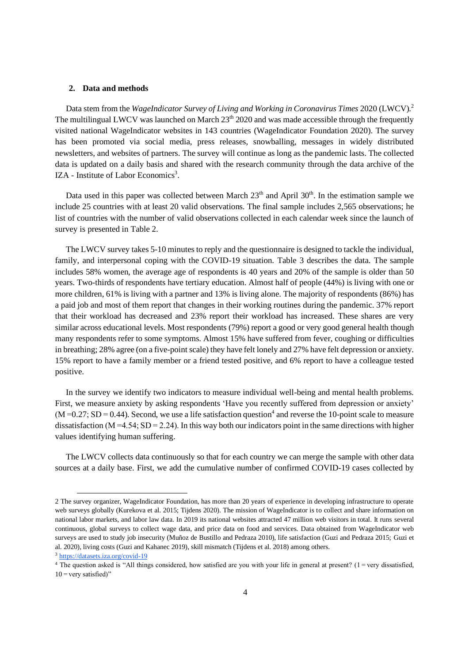#### **2. Data and methods**

Data stem from the *WageIndicator Survey of Living and Working in Coronavirus Times* 2020 (LWCV).<sup>2</sup> The multilingual LWCV was launched on March 23<sup>th</sup> 2020 and was made accessible through the frequently visited national WageIndicator websites in 143 countries (WageIndicator Foundation 2020). The survey has been promoted via social media, press releases, snowballing, messages in widely distributed newsletters, and websites of partners. The survey will continue as long as the pandemic lasts. The collected data is updated on a daily basis and shared with the research community through the data archive of the IZA - Institute of Labor Economics<sup>3</sup>.

Data used in this paper was collected between March  $23<sup>th</sup>$  and April  $30<sup>th</sup>$ . In the estimation sample we include 25 countries with at least 20 valid observations. The final sample includes 2,565 observations; he list of countries with the number of valid observations collected in each calendar week since the launch of survey is presented in Table 2.

The LWCV survey takes 5-10 minutes to reply and the questionnaire is designed to tackle the individual, family, and interpersonal coping with the COVID-19 situation. Table 3 describes the data. The sample includes 58% women, the average age of respondents is 40 years and 20% of the sample is older than 50 years. Two-thirds of respondents have tertiary education. Almost half of people (44%) is living with one or more children, 61% is living with a partner and 13% is living alone. The majority of respondents (86%) has a paid job and most of them report that changes in their working routines during the pandemic. 37% report that their workload has decreased and 23% report their workload has increased. These shares are very similar across educational levels. Most respondents (79%) report a good or very good general health though many respondents refer to some symptoms. Almost 15% have suffered from fever, coughing or difficulties in breathing; 28% agree (on a five-point scale) they have felt lonely and 27% have felt depression or anxiety. 15% report to have a family member or a friend tested positive, and 6% report to have a colleague tested positive.

In the survey we identify two indicators to measure individual well-being and mental health problems. First, we measure anxiety by asking respondents 'Have you recently suffered from depression or anxiety'  $(M=0.27; SD=0.44)$ . Second, we use a life satisfaction question<sup>4</sup> and reverse the 10-point scale to measure dissatisfaction ( $M = 4.54$ ;  $SD = 2.24$ ). In this way both our indicators point in the same directions with higher values identifying human suffering.

The LWCV collects data continuously so that for each country we can merge the sample with other data sources at a daily base. First, we add the cumulative number of confirmed COVID-19 cases collected by

<sup>2</sup> The survey organizer, WageIndicator Foundation, has more than 20 years of experience in developing infrastructure to operate web surveys globally (Kurekova et al. 2015; Tijdens 2020). The mission of WageIndicator is to collect and share information on national labor markets, and labor law data. In 2019 its national websites attracted 47 million web visitors in total. It runs several continuous, global surveys to collect wage data, and price data on food and services. Data obtained from WageIndicator web surveys are used to study job insecurity (Muñoz de Bustillo and Pedraza 2010), life satisfaction (Guzi and Pedraza 2015; Guzi et al. 2020), living costs (Guzi and Kahanec 2019), skill mismatch (Tijdens et al. 2018) among others.

<sup>3</sup> https://datasets.iza.org/covid-19

<sup>&</sup>lt;sup>4</sup> The question asked is "All things considered, how satisfied are you with your life in general at present? (1 = very dissatisfied,  $10 =$ **very** satisfied)"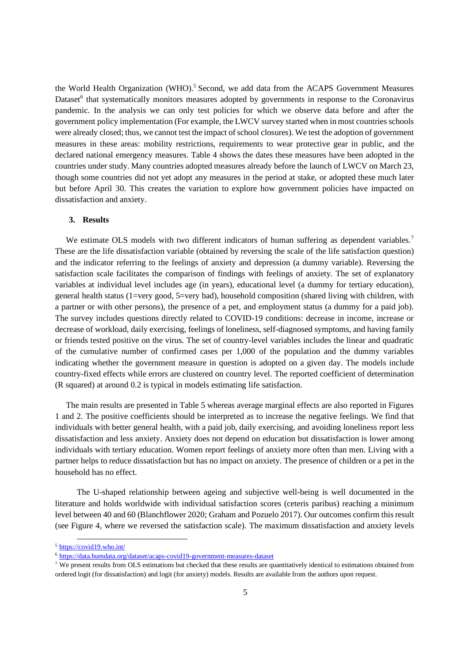the World Health Organization (WHO).<sup>5</sup> Second, we add data from the ACAPS Government Measures Dataset<sup>6</sup> that systematically monitors measures adopted by governments in response to the Coronavirus pandemic. In the analysis we can only test policies for which we observe data before and after the government policy implementation (For example, the LWCV survey started when in most countries schools were already closed; thus, we cannot test the impact of school closures). We test the adoption of government measures in these areas: mobility restrictions, requirements to wear protective gear in public, and the declared national emergency measures. Table 4 shows the dates these measures have been adopted in the countries under study. Many countries adopted measures already before the launch of LWCV on March 23, though some countries did not yet adopt any measures in the period at stake, or adopted these much later but before April 30. This creates the variation to explore how government policies have impacted on dissatisfaction and anxiety.

#### **3. Results**

We estimate OLS models with two different indicators of human suffering as dependent variables.<sup>7</sup> These are the life dissatisfaction variable (obtained by reversing the scale of the life satisfaction question) and the indicator referring to the feelings of anxiety and depression (a dummy variable). Reversing the satisfaction scale facilitates the comparison of findings with feelings of anxiety. The set of explanatory variables at individual level includes age (in years), educational level (a dummy for tertiary education), general health status (1=very good, 5=very bad), household composition (shared living with children, with a partner or with other persons), the presence of a pet, and employment status (a dummy for a paid job). The survey includes questions directly related to COVID-19 conditions: decrease in income, increase or decrease of workload, daily exercising, feelings of loneliness, self-diagnosed symptoms, and having family or friends tested positive on the virus. The set of country-level variables includes the linear and quadratic of the cumulative number of confirmed cases per 1,000 of the population and the dummy variables indicating whether the government measure in question is adopted on a given day. The models include country-fixed effects while errors are clustered on country level. The reported coefficient of determination (R squared) at around 0.2 is typical in models estimating life satisfaction.

The main results are presented in Table 5 whereas average marginal effects are also reported in Figures 1 and 2. The positive coefficients should be interpreted as to increase the negative feelings. We find that individuals with better general health, with a paid job, daily exercising, and avoiding loneliness report less dissatisfaction and less anxiety. Anxiety does not depend on education but dissatisfaction is lower among individuals with tertiary education. Women report feelings of anxiety more often than men. Living with a partner helps to reduce dissatisfaction but has no impact on anxiety. The presence of children or a pet in the household has no effect.

The U-shaped relationship between ageing and subjective well-being is well documented in the literature and holds worldwide with individual satisfaction scores (ceteris paribus) reaching a minimum level between 40 and 60 (Blanchflower 2020; Graham and Pozuelo 2017). Our outcomes confirm this result (see Figure 4, where we reversed the satisfaction scale). The maximum dissatisfaction and anxiety levels

<sup>5</sup> https://covid19.who.int/

<sup>6</sup> https://data.humdata.org/dataset/acaps-covid19-government-measures-dataset

<sup>&</sup>lt;sup>7</sup> We present results from OLS estimations but checked that these results are quantitatively identical to estimations obtained from ordered logit (for dissatisfaction) and logit (for anxiety) models. Results are available from the authors upon request.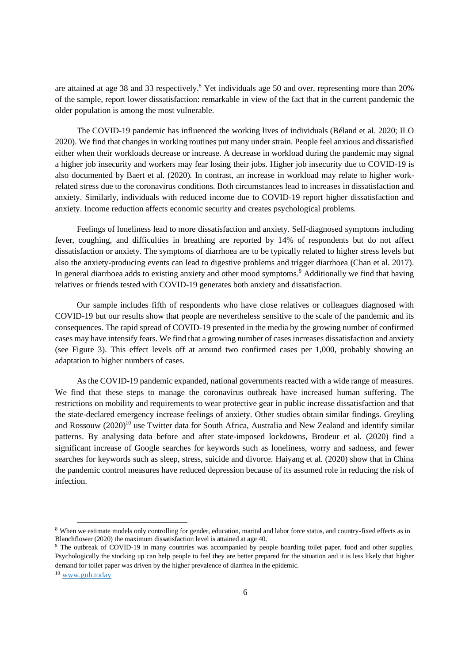are attained at age 38 and 33 respectively.<sup>8</sup> Yet individuals age 50 and over, representing more than 20% of the sample, report lower dissatisfaction: remarkable in view of the fact that in the current pandemic the older population is among the most vulnerable.

The COVID-19 pandemic has influenced the working lives of individuals (Béland et al. 2020; ILO 2020). We find that changes in working routines put many under strain. People feel anxious and dissatisfied either when their workloads decrease or increase. A decrease in workload during the pandemic may signal a higher job insecurity and workers may fear losing their jobs. Higher job insecurity due to COVID-19 is also documented by Baert et al. (2020). In contrast, an increase in workload may relate to higher workrelated stress due to the coronavirus conditions. Both circumstances lead to increases in dissatisfaction and anxiety. Similarly, individuals with reduced income due to COVID-19 report higher dissatisfaction and anxiety. Income reduction affects economic security and creates psychological problems.

Feelings of loneliness lead to more dissatisfaction and anxiety. Self-diagnosed symptoms including fever, coughing, and difficulties in breathing are reported by 14% of respondents but do not affect dissatisfaction or anxiety. The symptoms of diarrhoea are to be typically related to higher stress levels but also the anxiety-producing events can lead to digestive problems and trigger diarrhoea (Chan et al. 2017). In general diarrhoea adds to existing anxiety and other mood symptoms.<sup>9</sup> Additionally we find that having relatives or friends tested with COVID-19 generates both anxiety and dissatisfaction.

Our sample includes fifth of respondents who have close relatives or colleagues diagnosed with COVID-19 but our results show that people are nevertheless sensitive to the scale of the pandemic and its consequences. The rapid spread of COVID-19 presented in the media by the growing number of confirmed cases may have intensify fears. We find that a growing number of cases increases dissatisfaction and anxiety (see Figure 3). This effect levels off at around two confirmed cases per 1,000, probably showing an adaptation to higher numbers of cases.

As the COVID-19 pandemic expanded, national governments reacted with a wide range of measures. We find that these steps to manage the coronavirus outbreak have increased human suffering. The restrictions on mobility and requirements to wear protective gear in public increase dissatisfaction and that the state-declared emergency increase feelings of anxiety. Other studies obtain similar findings. Greyling and Rossouw  $(2020)^{10}$  use Twitter data for South Africa, Australia and New Zealand and identify similar patterns. By analysing data before and after state-imposed lockdowns, Brodeur et al. (2020) find a significant increase of Google searches for keywords such as loneliness, worry and sadness, and fewer searches for keywords such as sleep, stress, suicide and divorce. Haiyang et al. (2020) show that in China the pandemic control measures have reduced depression because of its assumed role in reducing the risk of infection.

<sup>&</sup>lt;sup>8</sup> When we estimate models only controlling for gender, education, marital and labor force status, and country-fixed effects as in Blanchflower (2020) the maximum dissatisfaction level is attained at age 40.

<sup>&</sup>lt;sup>9</sup> The outbreak of COVID-19 in many countries was accompanied by people hoarding toilet paper, food and other supplies. Psychologically the stocking up can help people to feel they are better prepared for the situation and it is less likely that higher demand for toilet paper was driven by the higher prevalence of diarrhea in the epidemic.

<sup>10</sup> www.gnh.today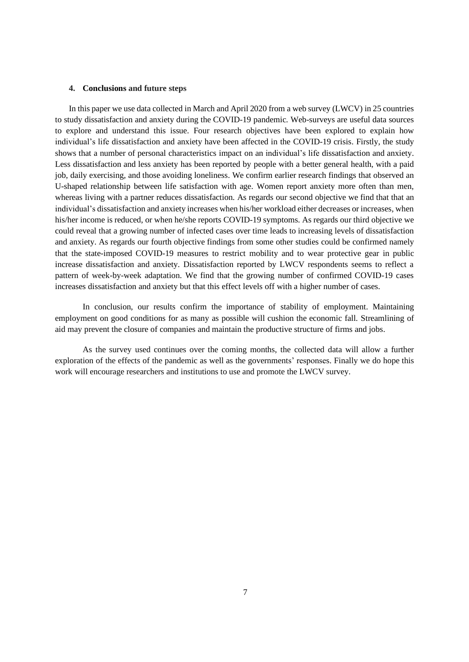#### **4. Conclusions and future steps**

In this paper we use data collected in March and April 2020 from a web survey (LWCV) in 25 countries to study dissatisfaction and anxiety during the COVID-19 pandemic. Web-surveys are useful data sources to explore and understand this issue. Four research objectives have been explored to explain how individual's life dissatisfaction and anxiety have been affected in the COVID-19 crisis. Firstly, the study shows that a number of personal characteristics impact on an individual's life dissatisfaction and anxiety. Less dissatisfaction and less anxiety has been reported by people with a better general health, with a paid job, daily exercising, and those avoiding loneliness. We confirm earlier research findings that observed an U-shaped relationship between life satisfaction with age. Women report anxiety more often than men, whereas living with a partner reduces dissatisfaction. As regards our second objective we find that that an individual's dissatisfaction and anxiety increases when his/her workload either decreases or increases, when his/her income is reduced, or when he/she reports COVID-19 symptoms. As regards our third objective we could reveal that a growing number of infected cases over time leads to increasing levels of dissatisfaction and anxiety. As regards our fourth objective findings from some other studies could be confirmed namely that the state-imposed COVID-19 measures to restrict mobility and to wear protective gear in public increase dissatisfaction and anxiety. Dissatisfaction reported by LWCV respondents seems to reflect a pattern of week-by-week adaptation. We find that the growing number of confirmed COVID-19 cases increases dissatisfaction and anxiety but that this effect levels off with a higher number of cases.

In conclusion, our results confirm the importance of stability of employment. Maintaining employment on good conditions for as many as possible will cushion the economic fall. Streamlining of aid may prevent the closure of companies and maintain the productive structure of firms and jobs.

As the survey used continues over the coming months, the collected data will allow a further exploration of the effects of the pandemic as well as the governments' responses. Finally we do hope this work will encourage researchers and institutions to use and promote the LWCV survey.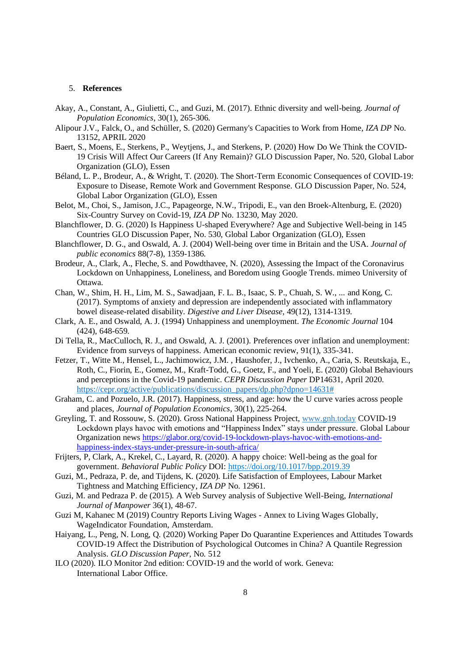#### 5. **References**

- Akay, A., Constant, A., Giulietti, C., and Guzi, M. (2017). Ethnic diversity and well-being. *Journal of Population Economics*, 30(1), 265-306.
- Alipour J.V., Falck, O., and Schüller, S. (2020) Germany's Capacities to Work from Home, *IZA DP* No. 13152, APRIL 2020
- Baert, S., Moens, E., Sterkens, P., Weytjens, J., and Sterkens, P. (2020) How Do We Think the COVID-19 Crisis Will Affect Our Careers (If Any Remain)? GLO Discussion Paper, No. 520, Global Labor Organization (GLO), Essen
- Béland, L. P., Brodeur, A., & Wright, T. (2020). The Short-Term Economic Consequences of COVID-19: Exposure to Disease, Remote Work and Government Response. GLO Discussion Paper, No. 524, Global Labor Organization (GLO), Essen
- Belot, M., Choi, S., Jamison, J.C., Papageorge, N.W., Tripodi, E., van den Broek-Altenburg, E. (2020) Six-Country Survey on Covid-19, *IZA DP* No. 13230, May 2020.
- Blanchflower, D. G. (2020) Is Happiness U-shaped Everywhere? Age and Subjective Well-being in 145 Countries GLO Discussion Paper, No. 530, Global Labor Organization (GLO), Essen
- Blanchflower, D. G., and Oswald, A. J. (2004) Well-being over time in Britain and the USA. *Journal of public economics* 88(7-8), 1359-1386.
- Brodeur, A., Clark, A., Fleche, S. and Powdthavee, N. (2020), Assessing the Impact of the Coronavirus Lockdown on Unhappiness, Loneliness, and Boredom using Google Trends. mimeo University of Ottawa.
- Chan, W., Shim, H. H., Lim, M. S., Sawadjaan, F. L. B., Isaac, S. P., Chuah, S. W., ... and Kong, C. (2017). Symptoms of anxiety and depression are independently associated with inflammatory bowel disease-related disability. *Digestive and Liver Disease*, 49(12), 1314-1319.
- Clark, A. E., and Oswald, A. J. (1994) Unhappiness and unemployment. *The Economic Journal* 104 (424), 648-659.
- Di Tella, R., MacCulloch, R. J., and Oswald, A. J. (2001). Preferences over inflation and unemployment: Evidence from surveys of happiness. American economic review, 91(1), 335-341.
- Fetzer, T., Witte M., Hensel, L., Jachimowicz, J.M. , Haushofer, J., Ivchenko, A., Caria, S. Reutskaja, E., Roth, C., Fiorin, E., Gomez, M., Kraft-Todd, G., Goetz, F., and Yoeli, E. (2020) Global Behaviours and perceptions in the Covid-19 pandemic. *CEPR Discussion Paper* DP14631, April 2020. https://cepr.org/active/publications/discussion\_papers/dp.php?dpno=14631#
- Graham, C. and Pozuelo, J.R. (2017). Happiness, stress, and age: how the U curve varies across people and places, *Journal of Population Economics*, 30(1), 225-264.
- Greyling, T. and Rossouw, S. (2020). Gross National Happiness Project, www.gnh.today COVID-19 Lockdown plays havoc with emotions and "Happiness Index" stays under pressure. Global Labour Organization news https://glabor.org/covid-19-lockdown-plays-havoc-with-emotions-andhappiness-index-stays-under-pressure-in-south-africa/
- Frijters, P, Clark, A., Krekel, C., Layard, R. (2020). A happy choice: Well-being as the goal for government. *Behavioral Public Policy* DOI: https://doi.org/10.1017/bpp.2019.39
- Guzi, M., Pedraza, P. de, and Tijdens, K. (2020). Life Satisfaction of Employees, Labour Market Tightness and Matching Efficiency, *IZA DP* No. 12961.
- Guzi, M. and Pedraza P. de (2015). A Web Survey analysis of Subjective Well-Being, *International Journal of Manpower* 36(1), 48-67.
- Guzi M, Kahanec M (2019) Country Reports Living Wages Annex to Living Wages Globally, WageIndicator Foundation, Amsterdam.
- Haiyang, L., Peng, N. Long, Q. (2020) Working Paper Do Quarantine Experiences and Attitudes Towards COVID-19 Affect the Distribution of Psychological Outcomes in China? A Quantile Regression Analysis. *GLO Discussion Paper*, No. 512
- ILO (2020). ILO Monitor 2nd edition: COVID-19 and the world of work. Geneva: International Labor Office.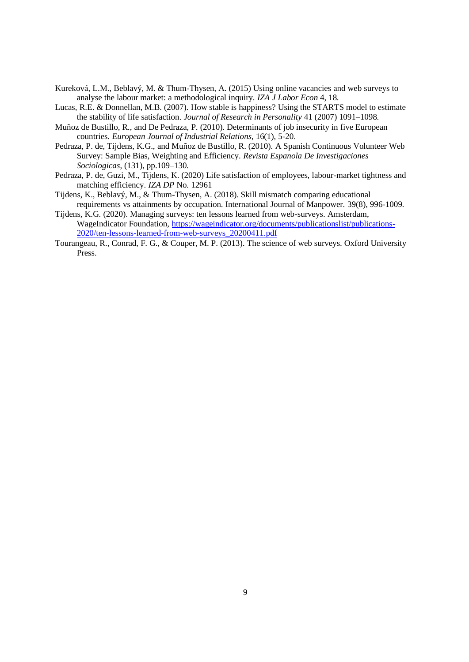- Kureková, L.M., Beblavý, M. & Thum-Thysen, A. (2015) Using online vacancies and web surveys to analyse the labour market: a methodological inquiry. *IZA J Labor Econ* 4, 18.
- Lucas, R.E. & Donnellan, M.B. (2007). How stable is happiness? Using the STARTS model to estimate the stability of life satisfaction. *Journal of Research in Personality* 41 (2007) 1091–1098.
- Muñoz de Bustillo, R., and De Pedraza, P. (2010). Determinants of job insecurity in five European countries. *European Journal of Industrial Relations*, 16(1), 5-20.
- Pedraza, P. de, Tijdens, K.G., and Muñoz de Bustillo, R. (2010). A Spanish Continuous Volunteer Web Survey: Sample Bias, Weighting and Efficiency. *Revista Espanola De Investigaciones Sociologicas*, (131), pp.109–130.
- Pedraza, P. de, Guzi, M., Tijdens, K. (2020) Life satisfaction of employees, labour-market tightness and matching efficiency. *IZA DP* No. 12961
- Tijdens, K., Beblavý, M., & Thum-Thysen, A. (2018). Skill mismatch comparing educational requirements vs attainments by occupation. International Journal of Manpower. 39(8), 996-1009.
- Tijdens, K.G. (2020). Managing surveys: ten lessons learned from web-surveys. Amsterdam, WageIndicator Foundation, https://wageindicator.org/documents/publicationslist/publications-2020/ten-lessons-learned-from-web-surveys\_20200411.pdf
- Tourangeau, R., Conrad, F. G., & Couper, M. P. (2013). The science of web surveys. Oxford University Press.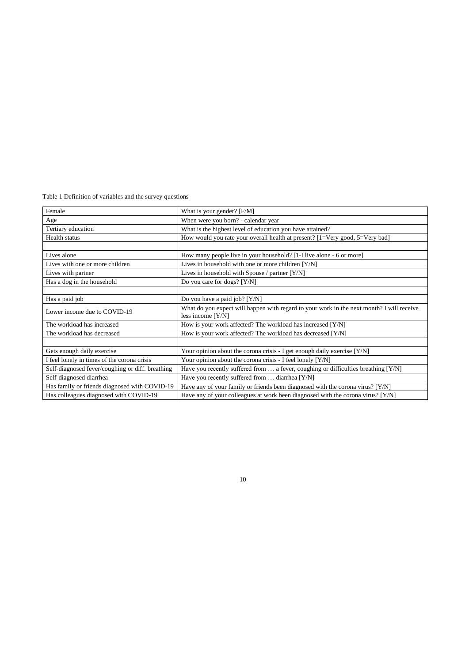Table 1 Definition of variables and the survey questions

| Female                                           | What is your gender? [F/M]                                                                                       |
|--------------------------------------------------|------------------------------------------------------------------------------------------------------------------|
| Age                                              | When were you born? - calendar year                                                                              |
| Tertiary education                               | What is the highest level of education you have attained?                                                        |
| Health status                                    | How would you rate your overall health at present? $[1=V$ ery good, $5=V$ ery bad]                               |
|                                                  |                                                                                                                  |
| Lives alone                                      | How many people live in your household? [1-I live alone - 6 or more]                                             |
| Lives with one or more children                  | Lives in household with one or more children [Y/N]                                                               |
| Lives with partner                               | Lives in household with Spouse / partner $[Y/N]$                                                                 |
| Has a dog in the household                       | Do you care for dogs? [Y/N]                                                                                      |
|                                                  |                                                                                                                  |
| Has a paid job                                   | Do you have a paid job? $[Y/N]$                                                                                  |
| Lower income due to COVID-19                     | What do you expect will happen with regard to your work in the next month? I will receive<br>less income $[Y/N]$ |
| The workload has increased                       | How is your work affected? The workload has increased [Y/N]                                                      |
| The workload has decreased                       | How is your work affected? The workload has decreased [Y/N]                                                      |
|                                                  |                                                                                                                  |
| Gets enough daily exercise                       | Your opinion about the corona crisis - I get enough daily exercise [Y/N]                                         |
| I feel lonely in times of the corona crisis      | Your opinion about the corona crisis - I feel lonely [Y/N]                                                       |
| Self-diagnosed fever/coughing or diff. breathing | Have you recently suffered from $\dots$ a fever, coughing or difficulties breathing [Y/N]                        |
| Self-diagnosed diarrhea                          | Have you recently suffered from  diarrhea [Y/N]                                                                  |
| Has family or friends diagnosed with COVID-19    | Have any of your family or friends been diagnosed with the corona virus? [Y/N]                                   |
| Has colleagues diagnosed with COVID-19           | Have any of your colleagues at work been diagnosed with the corona virus? [Y/N]                                  |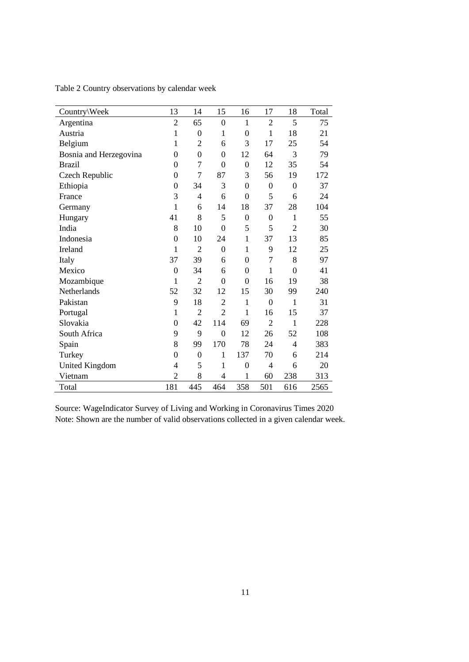| Country\Week           | 13               | 14             | 15               | 16               | 17               | 18             | Total |
|------------------------|------------------|----------------|------------------|------------------|------------------|----------------|-------|
| Argentina              | $\overline{2}$   | 65             | $\mathbf{0}$     | $\mathbf{1}$     | $\overline{2}$   | 5              | 75    |
| Austria                | $\mathbf{1}$     | $\overline{0}$ | 1                | $\overline{0}$   | $\mathbf{1}$     | 18             | 21    |
| Belgium                | $\mathbf{1}$     | $\overline{2}$ | 6                | 3                | 17               | 25             | 54    |
| Bosnia and Herzegovina | $\boldsymbol{0}$ | $\overline{0}$ | $\mathbf{0}$     | 12               | 64               | 3              | 79    |
| <b>Brazil</b>          | $\boldsymbol{0}$ | 7              | $\mathbf{0}$     | $\mathbf{0}$     | 12               | 35             | 54    |
| Czech Republic         | $\overline{0}$   | 7              | 87               | 3                | 56               | 19             | 172   |
| Ethiopia               | $\overline{0}$   | 34             | 3                | $\overline{0}$   | $\overline{0}$   | $\overline{0}$ | 37    |
| France                 | 3                | $\overline{4}$ | 6                | $\overline{0}$   | 5                | 6              | 24    |
| Germany                | $\mathbf{1}$     | 6              | 14               | 18               | 37               | 28             | 104   |
| Hungary                | 41               | 8              | 5                | $\mathbf{0}$     | $\boldsymbol{0}$ | $\mathbf{1}$   | 55    |
| India                  | 8                | 10             | $\overline{0}$   | 5                | 5                | $\overline{2}$ | 30    |
| Indonesia              | $\boldsymbol{0}$ | 10             | 24               | $\mathbf{1}$     | 37               | 13             | 85    |
| Ireland                | 1                | $\overline{2}$ | $\mathbf{0}$     | $\mathbf{1}$     | 9                | 12             | 25    |
| Italy                  | 37               | 39             | 6                | $\boldsymbol{0}$ | 7                | 8              | 97    |
| Mexico                 | $\boldsymbol{0}$ | 34             | 6                | $\theta$         | 1                | $\theta$       | 41    |
| Mozambique             | $\mathbf{1}$     | $\overline{2}$ | $\boldsymbol{0}$ | $\overline{0}$   | 16               | 19             | 38    |
| Netherlands            | 52               | 32             | 12               | 15               | 30               | 99             | 240   |
| Pakistan               | 9                | 18             | $\overline{2}$   | 1                | $\overline{0}$   | 1              | 31    |
| Portugal               | $\mathbf{1}$     | $\overline{2}$ | $\overline{2}$   | $\mathbf{1}$     | 16               | 15             | 37    |
| Slovakia               | $\boldsymbol{0}$ | 42             | 114              | 69               | $\overline{2}$   | $\mathbf{1}$   | 228   |
| South Africa           | 9                | 9              | $\overline{0}$   | 12               | 26               | 52             | 108   |
| Spain                  | 8                | 99             | 170              | 78               | 24               | $\overline{4}$ | 383   |
| Turkey                 | $\mathbf{0}$     | $\overline{0}$ | 1                | 137              | 70               | 6              | 214   |
| <b>United Kingdom</b>  | 4                | 5              | 1                | $\boldsymbol{0}$ | $\overline{4}$   | 6              | 20    |
| Vietnam                | $\overline{2}$   | 8              | 4                | 1                | 60               | 238            | 313   |
| Total                  | 181              | 445            | 464              | 358              | 501              | 616            | 2565  |

Table 2 Country observations by calendar week

Source: WageIndicator Survey of Living and Working in Coronavirus Times 2020 Note: Shown are the number of valid observations collected in a given calendar week.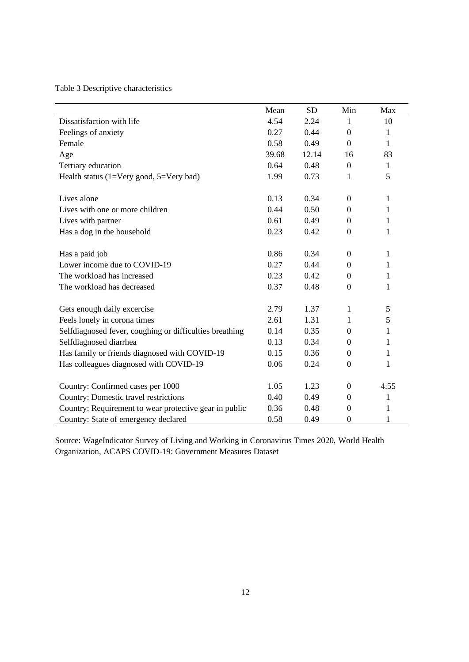Table 3 Descriptive characteristics

|                                                         | Mean  | <b>SD</b> | Min              | Max          |
|---------------------------------------------------------|-------|-----------|------------------|--------------|
| Dissatisfaction with life                               | 4.54  | 2.24      | 1                | 10           |
| Feelings of anxiety                                     | 0.27  | 0.44      | $\boldsymbol{0}$ | 1            |
| Female                                                  | 0.58  | 0.49      | $\boldsymbol{0}$ | 1            |
| Age                                                     | 39.68 | 12.14     | 16               | 83           |
| Tertiary education                                      | 0.64  | 0.48      | $\boldsymbol{0}$ | $\mathbf{1}$ |
| Health status $(1=V$ ery good, $5=V$ ery bad)           | 1.99  | 0.73      | 1                | 5            |
| Lives alone                                             | 0.13  | 0.34      | $\boldsymbol{0}$ | $\mathbf{1}$ |
| Lives with one or more children                         | 0.44  | 0.50      | $\boldsymbol{0}$ | 1            |
| Lives with partner                                      | 0.61  | 0.49      | $\boldsymbol{0}$ | 1            |
| Has a dog in the household                              | 0.23  | 0.42      | $\boldsymbol{0}$ | $\mathbf{1}$ |
| Has a paid job                                          | 0.86  | 0.34      | $\Omega$         | 1            |
| Lower income due to COVID-19                            | 0.27  | 0.44      | $\boldsymbol{0}$ | 1            |
| The workload has increased                              | 0.23  | 0.42      | $\boldsymbol{0}$ | 1            |
| The workload has decreased                              | 0.37  | 0.48      | $\boldsymbol{0}$ | 1            |
| Gets enough daily excercise                             | 2.79  | 1.37      | 1                | 5            |
| Feels lonely in corona times                            | 2.61  | 1.31      | 1                | 5            |
| Selfdiagnosed fever, coughing or difficulties breathing | 0.14  | 0.35      | $\boldsymbol{0}$ | 1            |
| Selfdiagnosed diarrhea                                  | 0.13  | 0.34      | $\boldsymbol{0}$ | 1            |
| Has family or friends diagnosed with COVID-19           | 0.15  | 0.36      | $\boldsymbol{0}$ | 1            |
| Has colleagues diagnosed with COVID-19                  | 0.06  | 0.24      | $\boldsymbol{0}$ | 1            |
| Country: Confirmed cases per 1000                       | 1.05  | 1.23      | $\boldsymbol{0}$ | 4.55         |
| Country: Domestic travel restrictions                   | 0.40  | 0.49      | $\boldsymbol{0}$ | 1            |
| Country: Requirement to wear protective gear in public  | 0.36  | 0.48      | $\boldsymbol{0}$ | 1            |
| Country: State of emergency declared                    | 0.58  | 0.49      | $\boldsymbol{0}$ | $\mathbf{1}$ |

Source: WageIndicator Survey of Living and Working in Coronavirus Times 2020, World Health Organization, ACAPS COVID-19: Government Measures Dataset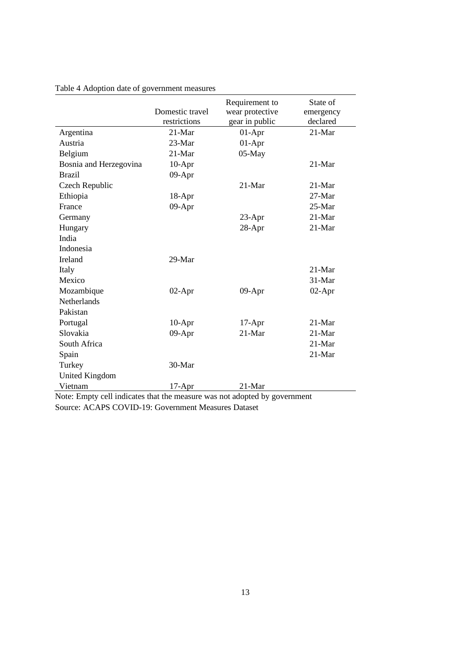|                                                                           | Domestic travel<br>restrictions | Requirement to<br>wear protective<br>gear in public | State of<br>emergency<br>declared |
|---------------------------------------------------------------------------|---------------------------------|-----------------------------------------------------|-----------------------------------|
| Argentina                                                                 | $21-Mar$                        | $01-Apr$                                            | 21-Mar                            |
| Austria                                                                   | 23-Mar                          | $01-Apr$                                            |                                   |
| Belgium                                                                   | 21-Mar                          | $05-May$                                            |                                   |
| Bosnia and Herzegovina                                                    | $10-Apr$                        |                                                     | $21-Mar$                          |
| <b>Brazil</b>                                                             | 09-Apr                          |                                                     |                                   |
| Czech Republic                                                            |                                 | $21-Mar$                                            | $21-Mar$                          |
| Ethiopia                                                                  | $18-Apr$                        |                                                     | $27-Mar$                          |
| France                                                                    | 09-Apr                          |                                                     | $25-Mar$                          |
| Germany                                                                   |                                 | 23-Apr                                              | 21-Mar                            |
| Hungary                                                                   |                                 | 28-Apr                                              | 21-Mar                            |
| India                                                                     |                                 |                                                     |                                   |
| Indonesia                                                                 |                                 |                                                     |                                   |
| Ireland                                                                   | 29-Mar                          |                                                     |                                   |
| Italy                                                                     |                                 |                                                     | $21-Mar$                          |
| Mexico                                                                    |                                 |                                                     | 31-Mar                            |
| Mozambique                                                                | $02-Apr$                        | $09-Apr$                                            | $02-Apr$                          |
| Netherlands                                                               |                                 |                                                     |                                   |
| Pakistan                                                                  |                                 |                                                     |                                   |
| Portugal                                                                  | $10-Apr$                        | $17-Apr$                                            | $21-Mar$                          |
| Slovakia                                                                  | 09-Apr                          | $21-Mar$                                            | $21-Mar$                          |
| South Africa                                                              |                                 |                                                     | $21-Mar$                          |
| Spain                                                                     |                                 |                                                     | 21-Mar                            |
| Turkey                                                                    | 30-Mar                          |                                                     |                                   |
| <b>United Kingdom</b>                                                     |                                 |                                                     |                                   |
| Vietnam                                                                   | $17-Apr$                        | 21-Mar                                              |                                   |
| Note: Empty cell indicates that the measure was not adopted by government |                                 |                                                     |                                   |

Table 4 Adoption date of government measures

Note: Empty cell indicates that the measure was not adopted by government Source: ACAPS COVID-19: Government Measures Dataset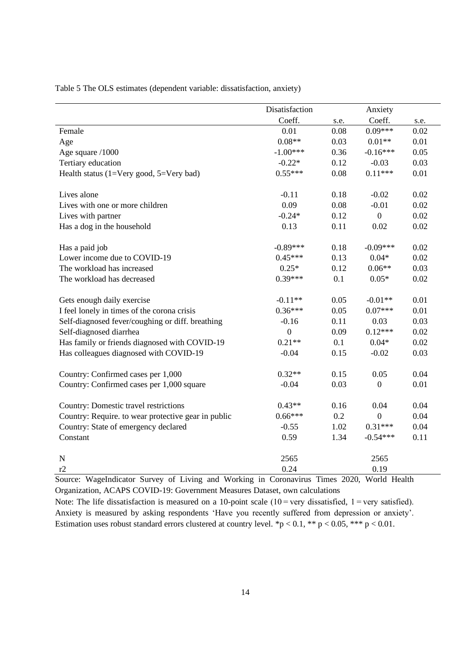|                                                     | Disatisfaction   |      | Anxiety          |      |
|-----------------------------------------------------|------------------|------|------------------|------|
|                                                     | Coeff.           | s.e. | Coeff.           | s.e. |
| Female                                              | 0.01             | 0.08 | $0.09***$        | 0.02 |
| Age                                                 | $0.08**$         | 0.03 | $0.01**$         | 0.01 |
| Age square /1000                                    | $-1.00***$       | 0.36 | $-0.16***$       | 0.05 |
| Tertiary education                                  | $-0.22*$         | 0.12 | $-0.03$          | 0.03 |
| Health status $(1=V$ ery good, $5=V$ ery bad)       | $0.55***$        | 0.08 | $0.11***$        | 0.01 |
| Lives alone                                         | $-0.11$          | 0.18 | $-0.02$          | 0.02 |
| Lives with one or more children                     | 0.09             | 0.08 | $-0.01$          | 0.02 |
| Lives with partner                                  | $-0.24*$         | 0.12 | $\boldsymbol{0}$ | 0.02 |
| Has a dog in the household                          | 0.13             | 0.11 | 0.02             | 0.02 |
| Has a paid job                                      | $-0.89***$       | 0.18 | $-0.09***$       | 0.02 |
| Lower income due to COVID-19                        | $0.45***$        | 0.13 | $0.04*$          | 0.02 |
| The workload has increased                          | $0.25*$          | 0.12 | $0.06**$         | 0.03 |
| The workload has decreased                          | $0.39***$        | 0.1  | $0.05*$          | 0.02 |
| Gets enough daily exercise                          | $-0.11**$        | 0.05 | $-0.01**$        | 0.01 |
| I feel lonely in times of the corona crisis         | $0.36***$        | 0.05 | $0.07***$        | 0.01 |
| Self-diagnosed fever/coughing or diff. breathing    | $-0.16$          | 0.11 | 0.03             | 0.03 |
| Self-diagnosed diarrhea                             | $\boldsymbol{0}$ | 0.09 | $0.12***$        | 0.02 |
| Has family or friends diagnosed with COVID-19       | $0.21**$         | 0.1  | $0.04*$          | 0.02 |
| Has colleagues diagnosed with COVID-19              | $-0.04$          | 0.15 | $-0.02$          | 0.03 |
| Country: Confirmed cases per 1,000                  | $0.32**$         | 0.15 | 0.05             | 0.04 |
| Country: Confirmed cases per 1,000 square           | $-0.04$          | 0.03 | $\boldsymbol{0}$ | 0.01 |
| Country: Domestic travel restrictions               | $0.43**$         | 0.16 | 0.04             | 0.04 |
| Country: Require. to wear protective gear in public | $0.66***$        | 0.2  | $\boldsymbol{0}$ | 0.04 |
| Country: State of emergency declared                | $-0.55$          | 1.02 | $0.31***$        | 0.04 |
| Constant                                            | 0.59             | 1.34 | $-0.54***$       | 0.11 |
| ${\bf N}$                                           | 2565             |      | 2565             |      |
| r2                                                  | 0.24             |      | 0.19             |      |

Table 5 The OLS estimates (dependent variable: dissatisfaction, anxiety)

Source: WageIndicator Survey of Living and Working in Coronavirus Times 2020, World Health Organization, ACAPS COVID-19: Government Measures Dataset, own calculations

Note: The life dissatisfaction is measured on a 10-point scale  $(10 = \text{very dissatisfied}, 1 = \text{very satisfied}).$ Anxiety is measured by asking respondents 'Have you recently suffered from depression or anxiety'. Estimation uses robust standard errors clustered at country level. \*p < 0.1, \*\* p < 0.05, \*\*\* p < 0.01.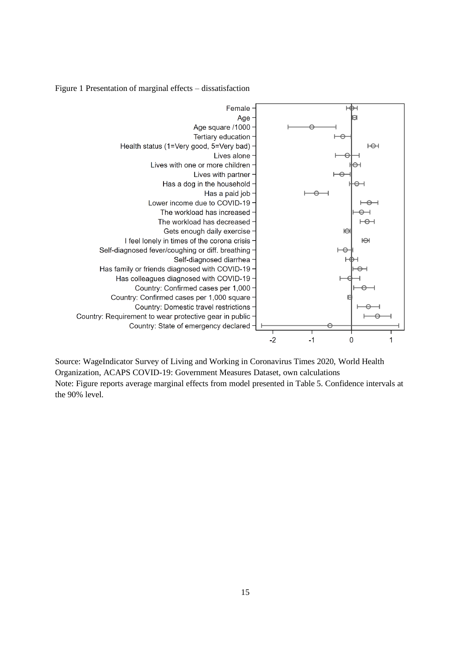Figure 1 Presentation of marginal effects – dissatisfaction



Source: WageIndicator Survey of Living and Working in Coronavirus Times 2020, World Health Organization, ACAPS COVID-19: Government Measures Dataset, own calculations Note: Figure reports average marginal effects from model presented in Table 5. Confidence intervals at the 90% level.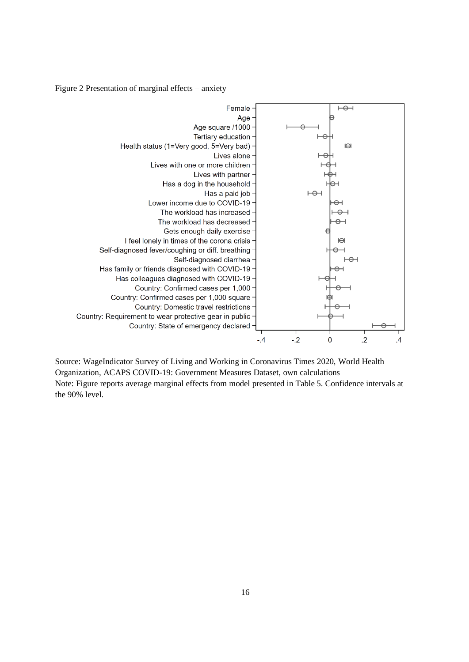Figure 2 Presentation of marginal effects – anxiety



Source: WageIndicator Survey of Living and Working in Coronavirus Times 2020, World Health Organization, ACAPS COVID-19: Government Measures Dataset, own calculations Note: Figure reports average marginal effects from model presented in Table 5. Confidence intervals at the 90% level.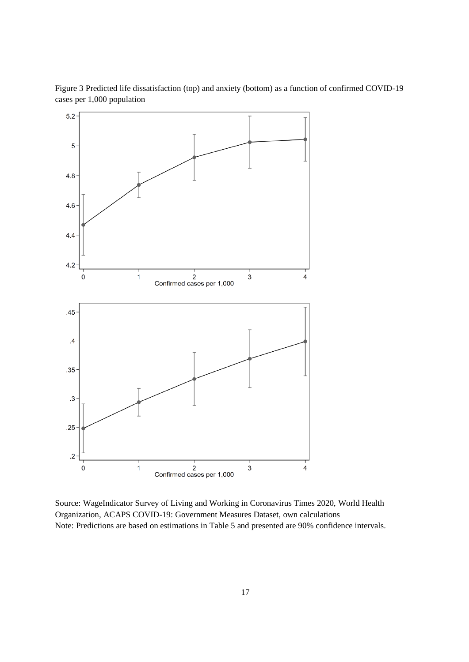

Figure 3 Predicted life dissatisfaction (top) and anxiety (bottom) as a function of confirmed COVID-19 cases per 1,000 population

Source: WageIndicator Survey of Living and Working in Coronavirus Times 2020, World Health Organization, ACAPS COVID-19: Government Measures Dataset, own calculations Note: Predictions are based on estimations in Table 5 and presented are 90% confidence intervals.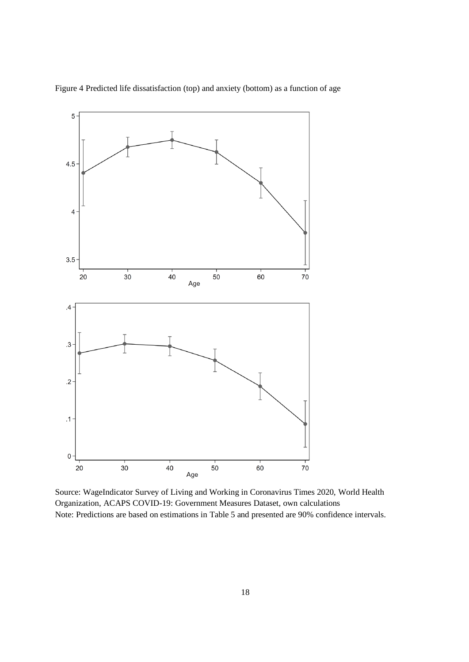

Figure 4 Predicted life dissatisfaction (top) and anxiety (bottom) as a function of age

Source: WageIndicator Survey of Living and Working in Coronavirus Times 2020, World Health Organization, ACAPS COVID-19: Government Measures Dataset, own calculations Note: Predictions are based on estimations in Table 5 and presented are 90% confidence intervals.